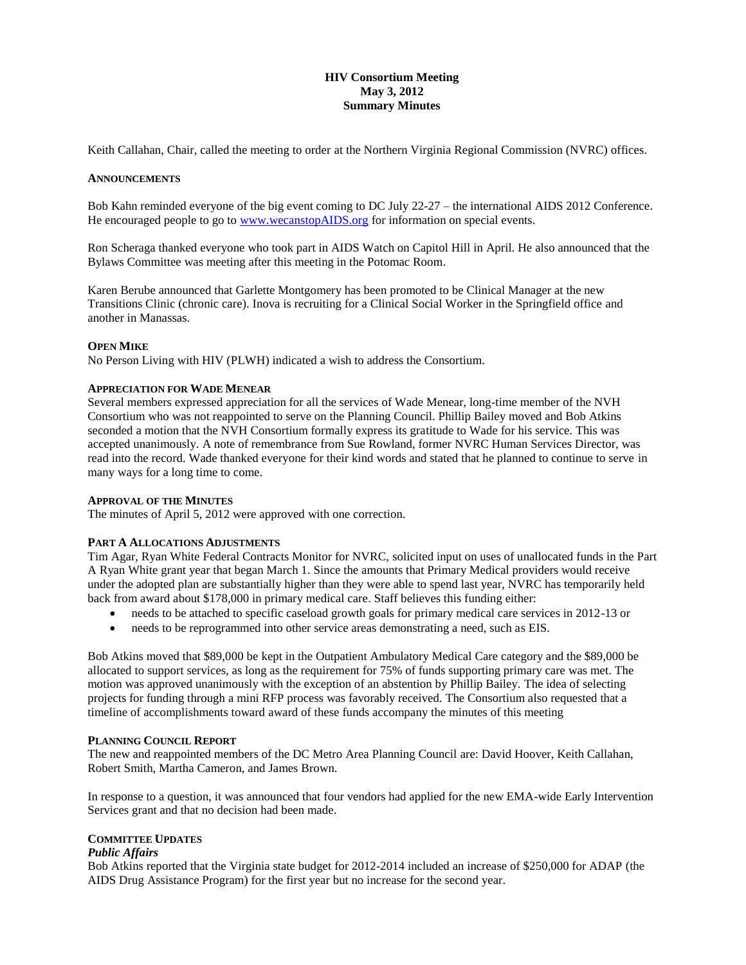## **HIV Consortium Meeting May 3, 2012 Summary Minutes**

Keith Callahan, Chair, called the meeting to order at the Northern Virginia Regional Commission (NVRC) offices.

#### **ANNOUNCEMENTS**

Bob Kahn reminded everyone of the big event coming to DC July 22-27 – the international AIDS 2012 Conference. He encouraged people to go to [www.wecanstopAIDS.org](http://www.wecanstopaids.org/) for information on special events.

Ron Scheraga thanked everyone who took part in AIDS Watch on Capitol Hill in April. He also announced that the Bylaws Committee was meeting after this meeting in the Potomac Room.

Karen Berube announced that Garlette Montgomery has been promoted to be Clinical Manager at the new Transitions Clinic (chronic care). Inova is recruiting for a Clinical Social Worker in the Springfield office and another in Manassas.

#### **OPEN MIKE**

No Person Living with HIV (PLWH) indicated a wish to address the Consortium.

### **APPRECIATION FOR WADE MENEAR**

Several members expressed appreciation for all the services of Wade Menear, long-time member of the NVH Consortium who was not reappointed to serve on the Planning Council. Phillip Bailey moved and Bob Atkins seconded a motion that the NVH Consortium formally express its gratitude to Wade for his service. This was accepted unanimously. A note of remembrance from Sue Rowland, former NVRC Human Services Director, was read into the record. Wade thanked everyone for their kind words and stated that he planned to continue to serve in many ways for a long time to come.

#### **APPROVAL OF THE MINUTES**

The minutes of April 5, 2012 were approved with one correction.

#### **PART A ALLOCATIONS ADJUSTMENTS**

Tim Agar, Ryan White Federal Contracts Monitor for NVRC, solicited input on uses of unallocated funds in the Part A Ryan White grant year that began March 1. Since the amounts that Primary Medical providers would receive under the adopted plan are substantially higher than they were able to spend last year, NVRC has temporarily held back from award about \$178,000 in primary medical care. Staff believes this funding either:

- needs to be attached to specific caseload growth goals for primary medical care services in 2012-13 or
- needs to be reprogrammed into other service areas demonstrating a need, such as EIS.

Bob Atkins moved that \$89,000 be kept in the Outpatient Ambulatory Medical Care category and the \$89,000 be allocated to support services, as long as the requirement for 75% of funds supporting primary care was met. The motion was approved unanimously with the exception of an abstention by Phillip Bailey. The idea of selecting projects for funding through a mini RFP process was favorably received. The Consortium also requested that a timeline of accomplishments toward award of these funds accompany the minutes of this meeting

#### **PLANNING COUNCIL REPORT**

The new and reappointed members of the DC Metro Area Planning Council are: David Hoover, Keith Callahan, Robert Smith, Martha Cameron, and James Brown.

In response to a question, it was announced that four vendors had applied for the new EMA-wide Early Intervention Services grant and that no decision had been made.

#### **COMMITTEE UPDATES**

### *Public Affairs*

Bob Atkins reported that the Virginia state budget for 2012-2014 included an increase of \$250,000 for ADAP (the AIDS Drug Assistance Program) for the first year but no increase for the second year.